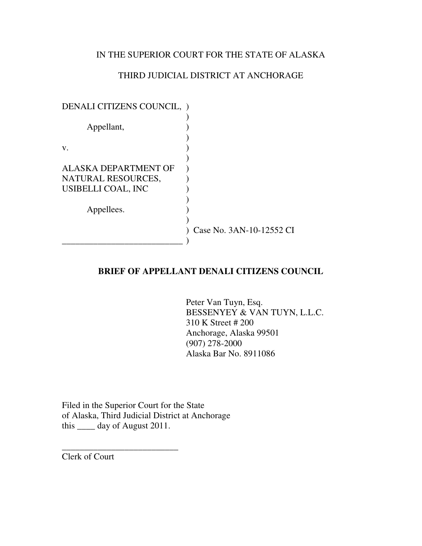### IN THE SUPERIOR COURT FOR THE STATE OF ALASKA

### THIRD JUDICIAL DISTRICT AT ANCHORAGE

| DENALI CITIZENS COUNCIL,    |                          |
|-----------------------------|--------------------------|
|                             |                          |
| Appellant,                  |                          |
|                             |                          |
| V.                          |                          |
|                             |                          |
| <b>ALASKA DEPARTMENT OF</b> |                          |
| NATURAL RESOURCES,          |                          |
| USIBELLI COAL, INC          |                          |
|                             |                          |
| Appellees.                  |                          |
|                             |                          |
|                             | Case No. 3AN-10-12552 CI |
|                             |                          |

### **BRIEF OF APPELLANT DENALI CITIZENS COUNCIL**

Peter Van Tuyn, Esq. BESSENYEY & VAN TUYN, L.L.C. 310 K Street # 200 Anchorage, Alaska 99501 (907) 278-2000 Alaska Bar No. 8911086

Filed in the Superior Court for the State of Alaska, Third Judicial District at Anchorage this \_\_\_\_ day of August 2011.

\_\_\_\_\_\_\_\_\_\_\_\_\_\_\_\_\_\_\_\_\_\_\_\_\_\_

Clerk of Court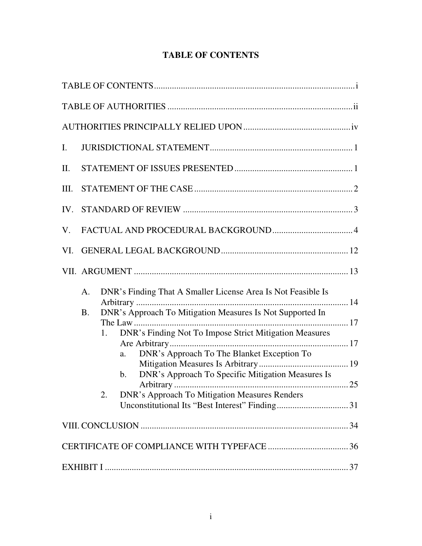# **TABLE OF CONTENTS**

| Ι.   |                 |                                                                                                                                                                                                                                                                                                                                                                                       |  |
|------|-----------------|---------------------------------------------------------------------------------------------------------------------------------------------------------------------------------------------------------------------------------------------------------------------------------------------------------------------------------------------------------------------------------------|--|
| II.  |                 |                                                                                                                                                                                                                                                                                                                                                                                       |  |
| III. |                 |                                                                                                                                                                                                                                                                                                                                                                                       |  |
|      |                 |                                                                                                                                                                                                                                                                                                                                                                                       |  |
| V.   |                 |                                                                                                                                                                                                                                                                                                                                                                                       |  |
| VI.  |                 |                                                                                                                                                                                                                                                                                                                                                                                       |  |
|      |                 |                                                                                                                                                                                                                                                                                                                                                                                       |  |
|      | A.<br><b>B.</b> | DNR's Finding That A Smaller License Area Is Not Feasible Is<br>DNR's Approach To Mitigation Measures Is Not Supported In<br>The Law<br>DNR's Finding Not To Impose Strict Mitigation Measures<br>1.<br>DNR's Approach To The Blanket Exception To<br>a.<br>DNR's Approach To Specific Mitigation Measures Is<br>$\mathbf b$ .<br>DNR's Approach To Mitigation Measures Renders<br>2. |  |
|      |                 |                                                                                                                                                                                                                                                                                                                                                                                       |  |
|      |                 |                                                                                                                                                                                                                                                                                                                                                                                       |  |
|      |                 |                                                                                                                                                                                                                                                                                                                                                                                       |  |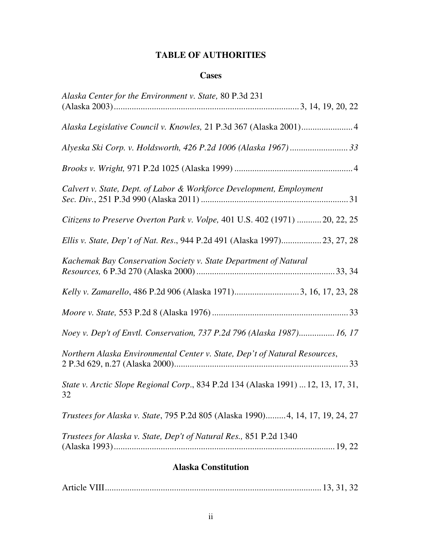# **TABLE OF AUTHORITIES**

### **Cases**

| <b>Alaska Constitution</b>                                                              |
|-----------------------------------------------------------------------------------------|
| Trustees for Alaska v. State, Dep't of Natural Res., 851 P.2d 1340                      |
| Trustees for Alaska v. State, 795 P.2d 805 (Alaska 1990) 4, 14, 17, 19, 24, 27          |
| State v. Arctic Slope Regional Corp., 834 P.2d 134 (Alaska 1991)  12, 13, 17, 31,<br>32 |
| Northern Alaska Environmental Center v. State, Dep't of Natural Resources,              |
| Noey v. Dep't of Envtl. Conservation, 737 P.2d 796 (Alaska 1987) 16, 17                 |
|                                                                                         |
| Kelly v. Zamarello, 486 P.2d 906 (Alaska 1971)3, 16, 17, 23, 28                         |
| Kachemak Bay Conservation Society v. State Department of Natural                        |
| Ellis v. State, Dep't of Nat. Res., 944 P.2d 491 (Alaska 1997)23, 27, 28                |
| Citizens to Preserve Overton Park v. Volpe, 401 U.S. 402 (1971)  20, 22, 25             |
| Calvert v. State, Dept. of Labor & Workforce Development, Employment                    |
|                                                                                         |
|                                                                                         |
| Alaska Legislative Council v. Knowles, 21 P.3d 367 (Alaska 2001) 4                      |
| Alaska Center for the Environment v. State, 80 P.3d 231                                 |

|--|--|--|--|--|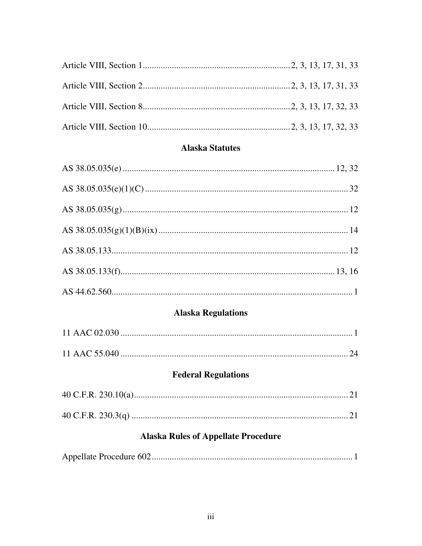# **Alaska Statutes**

# **Alaska Regulations**

# **Federal Regulations**

# **Alaska Rules of Appellate Procedure**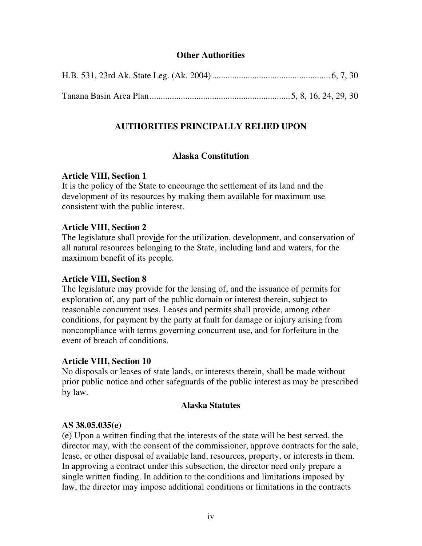### **Other Authorities**

## **AUTHORITIES PRINCIPALLY RELIED UPON**

### **Alaska Constitution**

### **Article VIII, Section 1**

It is the policy of the State to encourage the settlement of its land and the development of its resources by making them available for maximum use consistent with the public interest.

### **Article VIII, Section 2**

The legislature shall provide for the utilization, development, and conservation of all natural resources belonging to the State, including land and waters, for the maximum benefit of its people.

### **Article VIII, Section 8**

The legislature may provide for the leasing of, and the issuance of permits for exploration of, any part of the public domain or interest therein, subject to reasonable concurrent uses. Leases and permits shall provide, among other conditions, for payment by the party at fault for damage or injury arising from noncompliance with terms governing concurrent use, and for forfeiture in the event of breach of conditions.

### **Article VIII, Section 10**

No disposals or leases of state lands, or interests therein, shall be made without prior public notice and other safeguards of the public interest as may be prescribed by law.

### **Alaska Statutes**

### **AS 38.05.035(e)**

(e) Upon a written finding that the interests of the state will be best served, the director may, with the consent of the commissioner, approve contracts for the sale, lease, or other disposal of available land, resources, property, or interests in them. In approving a contract under this subsection, the director need only prepare a single written finding. In addition to the conditions and limitations imposed by law, the director may impose additional conditions or limitations in the contracts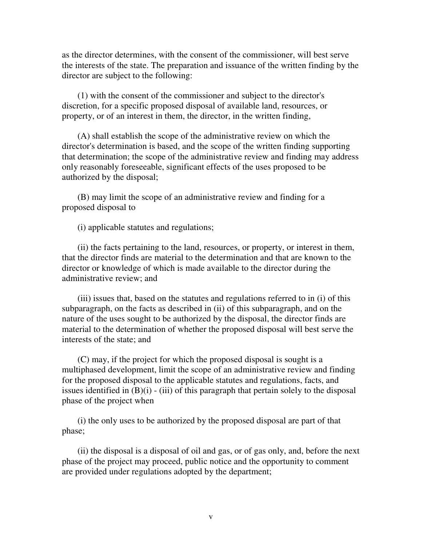as the director determines, with the consent of the commissioner, will best serve the interests of the state. The preparation and issuance of the written finding by the director are subject to the following:

(1) with the consent of the commissioner and subject to the director's discretion, for a specific proposed disposal of available land, resources, or property, or of an interest in them, the director, in the written finding,

(A) shall establish the scope of the administrative review on which the director's determination is based, and the scope of the written finding supporting that determination; the scope of the administrative review and finding may address only reasonably foreseeable, significant effects of the uses proposed to be authorized by the disposal;

(B) may limit the scope of an administrative review and finding for a proposed disposal to

(i) applicable statutes and regulations;

(ii) the facts pertaining to the land, resources, or property, or interest in them, that the director finds are material to the determination and that are known to the director or knowledge of which is made available to the director during the administrative review; and

(iii) issues that, based on the statutes and regulations referred to in (i) of this subparagraph, on the facts as described in (ii) of this subparagraph, and on the nature of the uses sought to be authorized by the disposal, the director finds are material to the determination of whether the proposed disposal will best serve the interests of the state; and

(C) may, if the project for which the proposed disposal is sought is a multiphased development, limit the scope of an administrative review and finding for the proposed disposal to the applicable statutes and regulations, facts, and issues identified in  $(B)(i)$  - (iii) of this paragraph that pertain solely to the disposal phase of the project when

(i) the only uses to be authorized by the proposed disposal are part of that phase;

(ii) the disposal is a disposal of oil and gas, or of gas only, and, before the next phase of the project may proceed, public notice and the opportunity to comment are provided under regulations adopted by the department;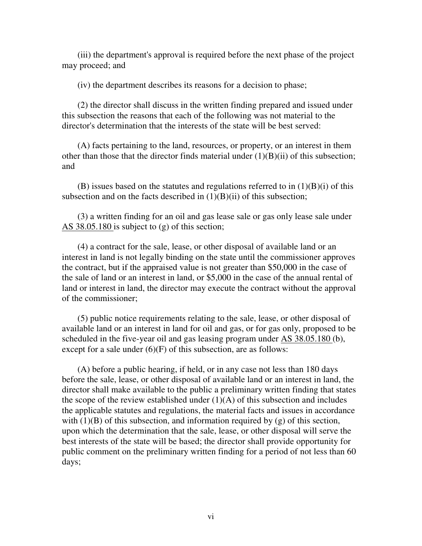(iii) the department's approval is required before the next phase of the project may proceed; and

(iv) the department describes its reasons for a decision to phase;

(2) the director shall discuss in the written finding prepared and issued under this subsection the reasons that each of the following was not material to the director's determination that the interests of the state will be best served:

(A) facts pertaining to the land, resources, or property, or an interest in them other than those that the director finds material under  $(1)(B)(ii)$  of this subsection; and

 $(B)$  issues based on the statutes and regulations referred to in  $(1)(B)(i)$  of this subsection and on the facts described in  $(1)(B)(ii)$  of this subsection;

(3) a written finding for an oil and gas lease sale or gas only lease sale under AS 38.05.180 is subject to (g) of this section;

(4) a contract for the sale, lease, or other disposal of available land or an interest in land is not legally binding on the state until the commissioner approves the contract, but if the appraised value is not greater than \$50,000 in the case of the sale of land or an interest in land, or \$5,000 in the case of the annual rental of land or interest in land, the director may execute the contract without the approval of the commissioner;

(5) public notice requirements relating to the sale, lease, or other disposal of available land or an interest in land for oil and gas, or for gas only, proposed to be scheduled in the five-year oil and gas leasing program under AS 38.05.180 (b), except for a sale under  $(6)(F)$  of this subsection, are as follows:

(A) before a public hearing, if held, or in any case not less than 180 days before the sale, lease, or other disposal of available land or an interest in land, the director shall make available to the public a preliminary written finding that states the scope of the review established under  $(1)(A)$  of this subsection and includes the applicable statutes and regulations, the material facts and issues in accordance with  $(1)(B)$  of this subsection, and information required by  $(g)$  of this section, upon which the determination that the sale, lease, or other disposal will serve the best interests of the state will be based; the director shall provide opportunity for public comment on the preliminary written finding for a period of not less than 60 days;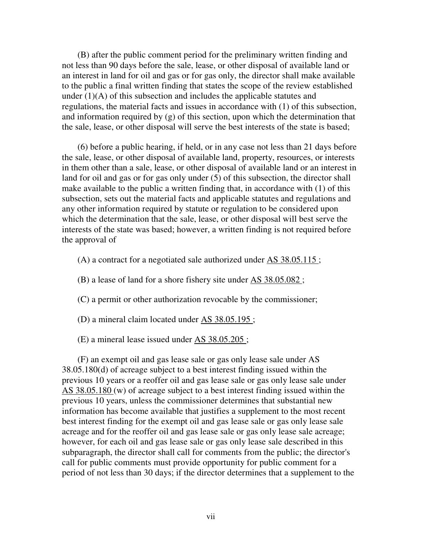(B) after the public comment period for the preliminary written finding and not less than 90 days before the sale, lease, or other disposal of available land or an interest in land for oil and gas or for gas only, the director shall make available to the public a final written finding that states the scope of the review established under  $(1)(A)$  of this subsection and includes the applicable statutes and regulations, the material facts and issues in accordance with (1) of this subsection, and information required by (g) of this section, upon which the determination that the sale, lease, or other disposal will serve the best interests of the state is based;

(6) before a public hearing, if held, or in any case not less than 21 days before the sale, lease, or other disposal of available land, property, resources, or interests in them other than a sale, lease, or other disposal of available land or an interest in land for oil and gas or for gas only under (5) of this subsection, the director shall make available to the public a written finding that, in accordance with (1) of this subsection, sets out the material facts and applicable statutes and regulations and any other information required by statute or regulation to be considered upon which the determination that the sale, lease, or other disposal will best serve the interests of the state was based; however, a written finding is not required before the approval of

(A) a contract for a negotiated sale authorized under AS 38.05.115 ;

(B) a lease of land for a shore fishery site under AS 38.05.082 ;

(C) a permit or other authorization revocable by the commissioner;

(D) a mineral claim located under AS 38.05.195 ;

(E) a mineral lease issued under AS 38.05.205 ;

(F) an exempt oil and gas lease sale or gas only lease sale under AS 38.05.180(d) of acreage subject to a best interest finding issued within the previous 10 years or a reoffer oil and gas lease sale or gas only lease sale under AS 38.05.180 (w) of acreage subject to a best interest finding issued within the previous 10 years, unless the commissioner determines that substantial new information has become available that justifies a supplement to the most recent best interest finding for the exempt oil and gas lease sale or gas only lease sale acreage and for the reoffer oil and gas lease sale or gas only lease sale acreage; however, for each oil and gas lease sale or gas only lease sale described in this subparagraph, the director shall call for comments from the public; the director's call for public comments must provide opportunity for public comment for a period of not less than 30 days; if the director determines that a supplement to the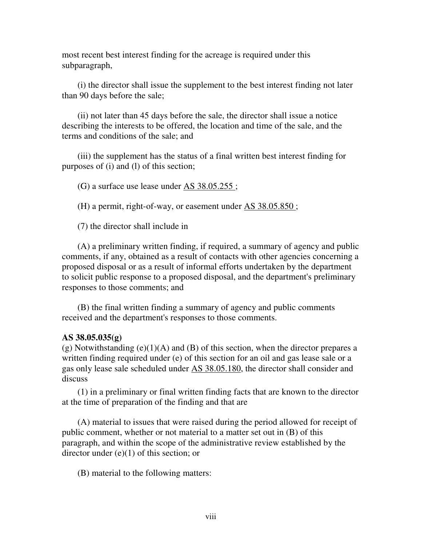most recent best interest finding for the acreage is required under this subparagraph,

(i) the director shall issue the supplement to the best interest finding not later than 90 days before the sale;

(ii) not later than 45 days before the sale, the director shall issue a notice describing the interests to be offered, the location and time of the sale, and the terms and conditions of the sale; and

(iii) the supplement has the status of a final written best interest finding for purposes of (i) and (l) of this section;

(G) a surface use lease under AS 38.05.255 ;

(H) a permit, right-of-way, or easement under AS 38.05.850 ;

(7) the director shall include in

(A) a preliminary written finding, if required, a summary of agency and public comments, if any, obtained as a result of contacts with other agencies concerning a proposed disposal or as a result of informal efforts undertaken by the department to solicit public response to a proposed disposal, and the department's preliminary responses to those comments; and

(B) the final written finding a summary of agency and public comments received and the department's responses to those comments.

#### **AS 38.05.035(g)**

 $(g)$  Notwithstanding  $(e)(1)(A)$  and  $(B)$  of this section, when the director prepares a written finding required under (e) of this section for an oil and gas lease sale or a gas only lease sale scheduled under AS 38.05.180, the director shall consider and discuss

(1) in a preliminary or final written finding facts that are known to the director at the time of preparation of the finding and that are

(A) material to issues that were raised during the period allowed for receipt of public comment, whether or not material to a matter set out in (B) of this paragraph, and within the scope of the administrative review established by the director under  $(e)(1)$  of this section; or

(B) material to the following matters: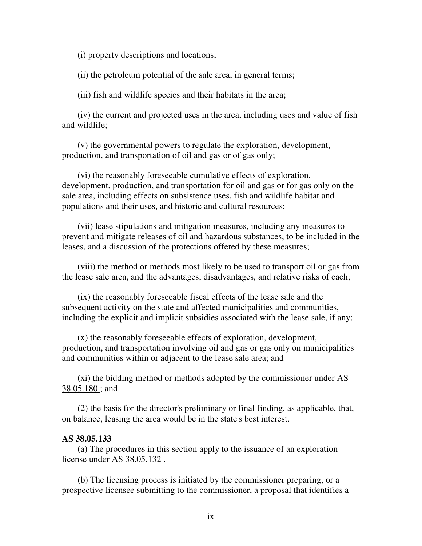(i) property descriptions and locations;

(ii) the petroleum potential of the sale area, in general terms;

(iii) fish and wildlife species and their habitats in the area;

(iv) the current and projected uses in the area, including uses and value of fish and wildlife;

(v) the governmental powers to regulate the exploration, development, production, and transportation of oil and gas or of gas only;

(vi) the reasonably foreseeable cumulative effects of exploration, development, production, and transportation for oil and gas or for gas only on the sale area, including effects on subsistence uses, fish and wildlife habitat and populations and their uses, and historic and cultural resources;

(vii) lease stipulations and mitigation measures, including any measures to prevent and mitigate releases of oil and hazardous substances, to be included in the leases, and a discussion of the protections offered by these measures;

(viii) the method or methods most likely to be used to transport oil or gas from the lease sale area, and the advantages, disadvantages, and relative risks of each;

(ix) the reasonably foreseeable fiscal effects of the lease sale and the subsequent activity on the state and affected municipalities and communities, including the explicit and implicit subsidies associated with the lease sale, if any;

(x) the reasonably foreseeable effects of exploration, development, production, and transportation involving oil and gas or gas only on municipalities and communities within or adjacent to the lease sale area; and

 $(xi)$  the bidding method or methods adopted by the commissioner under  $\overline{AS}$ 38.05.180 ; and

(2) the basis for the director's preliminary or final finding, as applicable, that, on balance, leasing the area would be in the state's best interest.

#### **AS 38.05.133**

(a) The procedures in this section apply to the issuance of an exploration license under AS 38.05.132 .

 (b) The licensing process is initiated by the commissioner preparing, or a prospective licensee submitting to the commissioner, a proposal that identifies a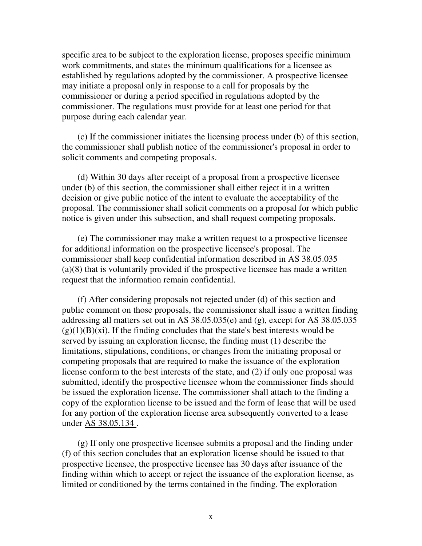specific area to be subject to the exploration license, proposes specific minimum work commitments, and states the minimum qualifications for a licensee as established by regulations adopted by the commissioner. A prospective licensee may initiate a proposal only in response to a call for proposals by the commissioner or during a period specified in regulations adopted by the commissioner. The regulations must provide for at least one period for that purpose during each calendar year.

(c) If the commissioner initiates the licensing process under (b) of this section, the commissioner shall publish notice of the commissioner's proposal in order to solicit comments and competing proposals.

(d) Within 30 days after receipt of a proposal from a prospective licensee under (b) of this section, the commissioner shall either reject it in a written decision or give public notice of the intent to evaluate the acceptability of the proposal. The commissioner shall solicit comments on a proposal for which public notice is given under this subsection, and shall request competing proposals.

(e) The commissioner may make a written request to a prospective licensee for additional information on the prospective licensee's proposal. The commissioner shall keep confidential information described in AS 38.05.035 (a)(8) that is voluntarily provided if the prospective licensee has made a written request that the information remain confidential.

(f) After considering proposals not rejected under (d) of this section and public comment on those proposals, the commissioner shall issue a written finding addressing all matters set out in AS  $38.05.035(e)$  and (g), except for AS  $38.05.035$  $(g)(1)(B)(xi)$ . If the finding concludes that the state's best interests would be served by issuing an exploration license, the finding must (1) describe the limitations, stipulations, conditions, or changes from the initiating proposal or competing proposals that are required to make the issuance of the exploration license conform to the best interests of the state, and (2) if only one proposal was submitted, identify the prospective licensee whom the commissioner finds should be issued the exploration license. The commissioner shall attach to the finding a copy of the exploration license to be issued and the form of lease that will be used for any portion of the exploration license area subsequently converted to a lease under AS 38.05.134 .

(g) If only one prospective licensee submits a proposal and the finding under (f) of this section concludes that an exploration license should be issued to that prospective licensee, the prospective licensee has 30 days after issuance of the finding within which to accept or reject the issuance of the exploration license, as limited or conditioned by the terms contained in the finding. The exploration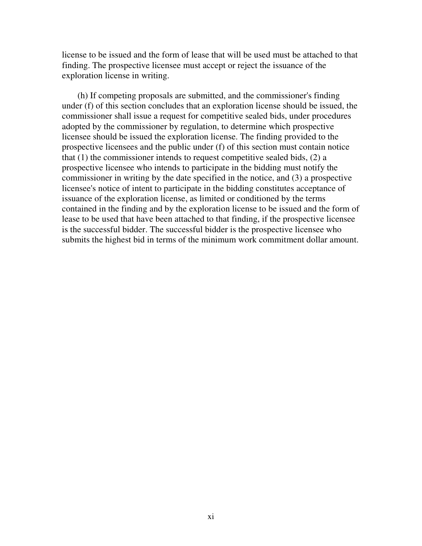license to be issued and the form of lease that will be used must be attached to that finding. The prospective licensee must accept or reject the issuance of the exploration license in writing.

(h) If competing proposals are submitted, and the commissioner's finding under (f) of this section concludes that an exploration license should be issued, the commissioner shall issue a request for competitive sealed bids, under procedures adopted by the commissioner by regulation, to determine which prospective licensee should be issued the exploration license. The finding provided to the prospective licensees and the public under (f) of this section must contain notice that (1) the commissioner intends to request competitive sealed bids, (2) a prospective licensee who intends to participate in the bidding must notify the commissioner in writing by the date specified in the notice, and (3) a prospective licensee's notice of intent to participate in the bidding constitutes acceptance of issuance of the exploration license, as limited or conditioned by the terms contained in the finding and by the exploration license to be issued and the form of lease to be used that have been attached to that finding, if the prospective licensee is the successful bidder. The successful bidder is the prospective licensee who submits the highest bid in terms of the minimum work commitment dollar amount.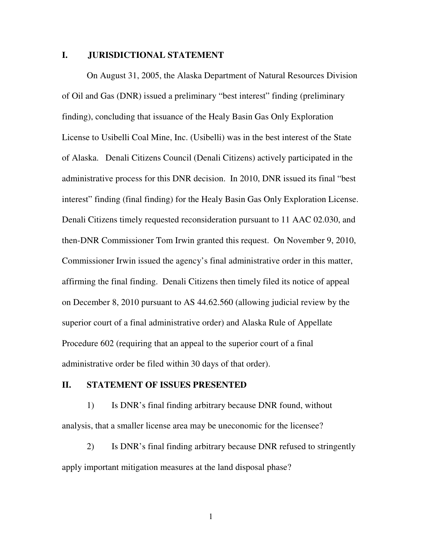### **I. JURISDICTIONAL STATEMENT**

 On August 31, 2005, the Alaska Department of Natural Resources Division of Oil and Gas (DNR) issued a preliminary "best interest" finding (preliminary finding), concluding that issuance of the Healy Basin Gas Only Exploration License to Usibelli Coal Mine, Inc. (Usibelli) was in the best interest of the State of Alaska. Denali Citizens Council (Denali Citizens) actively participated in the administrative process for this DNR decision. In 2010, DNR issued its final "best interest" finding (final finding) for the Healy Basin Gas Only Exploration License. Denali Citizens timely requested reconsideration pursuant to 11 AAC 02.030, and then-DNR Commissioner Tom Irwin granted this request. On November 9, 2010, Commissioner Irwin issued the agency's final administrative order in this matter, affirming the final finding. Denali Citizens then timely filed its notice of appeal on December 8, 2010 pursuant to AS 44.62.560 (allowing judicial review by the superior court of a final administrative order) and Alaska Rule of Appellate Procedure 602 (requiring that an appeal to the superior court of a final administrative order be filed within 30 days of that order).

#### **II. STATEMENT OF ISSUES PRESENTED**

1) Is DNR's final finding arbitrary because DNR found, without analysis, that a smaller license area may be uneconomic for the licensee?

2) Is DNR's final finding arbitrary because DNR refused to stringently apply important mitigation measures at the land disposal phase?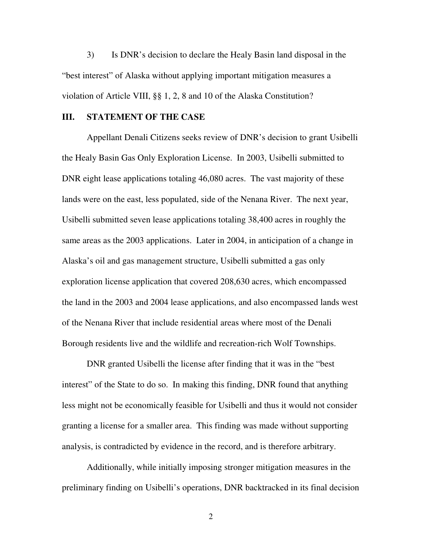3) Is DNR's decision to declare the Healy Basin land disposal in the "best interest" of Alaska without applying important mitigation measures a violation of Article VIII, §§ 1, 2, 8 and 10 of the Alaska Constitution?

#### **III. STATEMENT OF THE CASE**

 Appellant Denali Citizens seeks review of DNR's decision to grant Usibelli the Healy Basin Gas Only Exploration License. In 2003, Usibelli submitted to DNR eight lease applications totaling 46,080 acres. The vast majority of these lands were on the east, less populated, side of the Nenana River. The next year, Usibelli submitted seven lease applications totaling 38,400 acres in roughly the same areas as the 2003 applications. Later in 2004, in anticipation of a change in Alaska's oil and gas management structure, Usibelli submitted a gas only exploration license application that covered 208,630 acres, which encompassed the land in the 2003 and 2004 lease applications, and also encompassed lands west of the Nenana River that include residential areas where most of the Denali Borough residents live and the wildlife and recreation-rich Wolf Townships.

 DNR granted Usibelli the license after finding that it was in the "best interest" of the State to do so. In making this finding, DNR found that anything less might not be economically feasible for Usibelli and thus it would not consider granting a license for a smaller area. This finding was made without supporting analysis, is contradicted by evidence in the record, and is therefore arbitrary.

Additionally, while initially imposing stronger mitigation measures in the preliminary finding on Usibelli's operations, DNR backtracked in its final decision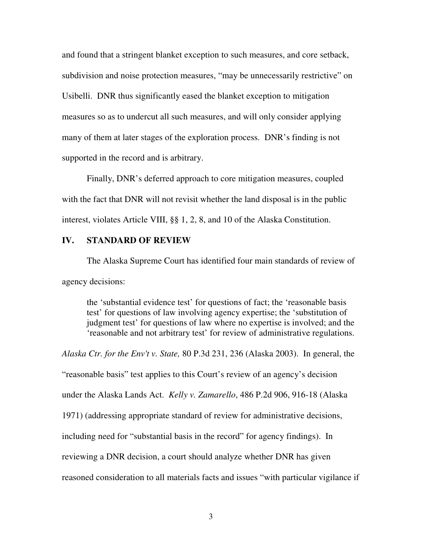and found that a stringent blanket exception to such measures, and core setback, subdivision and noise protection measures, "may be unnecessarily restrictive" on Usibelli. DNR thus significantly eased the blanket exception to mitigation measures so as to undercut all such measures, and will only consider applying many of them at later stages of the exploration process. DNR's finding is not supported in the record and is arbitrary.

Finally, DNR's deferred approach to core mitigation measures, coupled with the fact that DNR will not revisit whether the land disposal is in the public interest, violates Article VIII, §§ 1, 2, 8, and 10 of the Alaska Constitution.

### **IV. STANDARD OF REVIEW**

The Alaska Supreme Court has identified four main standards of review of agency decisions:

the 'substantial evidence test' for questions of fact; the 'reasonable basis test' for questions of law involving agency expertise; the 'substitution of judgment test' for questions of law where no expertise is involved; and the 'reasonable and not arbitrary test' for review of administrative regulations.

*Alaska Ctr. for the Env't v. State,* 80 P.3d 231, 236 (Alaska 2003). In general, the "reasonable basis" test applies to this Court's review of an agency's decision under the Alaska Lands Act. *Kelly v. Zamarello*, 486 P.2d 906, 916-18 (Alaska 1971) (addressing appropriate standard of review for administrative decisions, including need for "substantial basis in the record" for agency findings). In reviewing a DNR decision, a court should analyze whether DNR has given reasoned consideration to all materials facts and issues "with particular vigilance if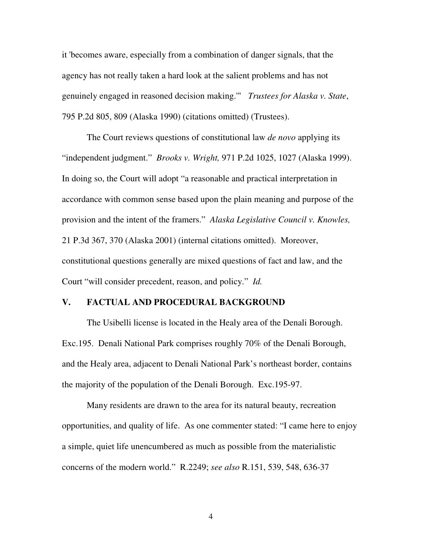it 'becomes aware, especially from a combination of danger signals, that the agency has not really taken a hard look at the salient problems and has not genuinely engaged in reasoned decision making.'" *Trustees for Alaska v. State*, 795 P.2d 805, 809 (Alaska 1990) (citations omitted) (Trustees).

 The Court reviews questions of constitutional law *de novo* applying its "independent judgment." *Brooks v. Wright,* 971 P.2d 1025, 1027 (Alaska 1999). In doing so, the Court will adopt "a reasonable and practical interpretation in accordance with common sense based upon the plain meaning and purpose of the provision and the intent of the framers." *Alaska Legislative Council v. Knowles,*  21 P.3d 367, 370 (Alaska 2001) (internal citations omitted). Moreover, constitutional questions generally are mixed questions of fact and law, and the Court "will consider precedent, reason, and policy." *Id.*

#### **V. FACTUAL AND PROCEDURAL BACKGROUND**

The Usibelli license is located in the Healy area of the Denali Borough. Exc.195. Denali National Park comprises roughly 70% of the Denali Borough, and the Healy area, adjacent to Denali National Park's northeast border, contains the majority of the population of the Denali Borough. Exc.195-97.

Many residents are drawn to the area for its natural beauty, recreation opportunities, and quality of life. As one commenter stated: "I came here to enjoy a simple, quiet life unencumbered as much as possible from the materialistic concerns of the modern world." R.2249; *see also* R.151, 539, 548, 636-37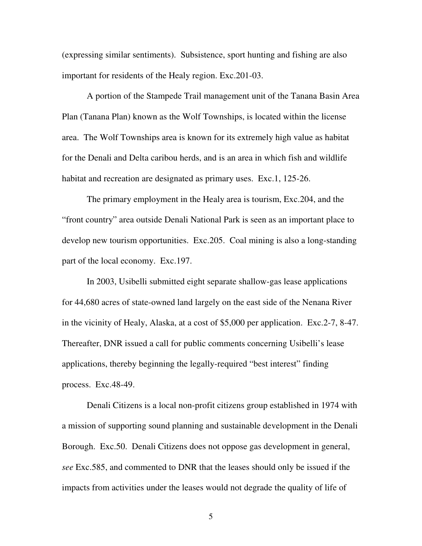(expressing similar sentiments). Subsistence, sport hunting and fishing are also important for residents of the Healy region. Exc.201-03.

A portion of the Stampede Trail management unit of the Tanana Basin Area Plan (Tanana Plan) known as the Wolf Townships, is located within the license area. The Wolf Townships area is known for its extremely high value as habitat for the Denali and Delta caribou herds, and is an area in which fish and wildlife habitat and recreation are designated as primary uses. Exc.1, 125-26.

The primary employment in the Healy area is tourism, Exc.204, and the "front country" area outside Denali National Park is seen as an important place to develop new tourism opportunities. Exc.205. Coal mining is also a long-standing part of the local economy. Exc.197.

In 2003, Usibelli submitted eight separate shallow-gas lease applications for 44,680 acres of state-owned land largely on the east side of the Nenana River in the vicinity of Healy, Alaska, at a cost of \$5,000 per application. Exc.2-7, 8-47. Thereafter, DNR issued a call for public comments concerning Usibelli's lease applications, thereby beginning the legally-required "best interest" finding process. Exc.48-49.

Denali Citizens is a local non-profit citizens group established in 1974 with a mission of supporting sound planning and sustainable development in the Denali Borough. Exc.50. Denali Citizens does not oppose gas development in general, *see* Exc.585, and commented to DNR that the leases should only be issued if the impacts from activities under the leases would not degrade the quality of life of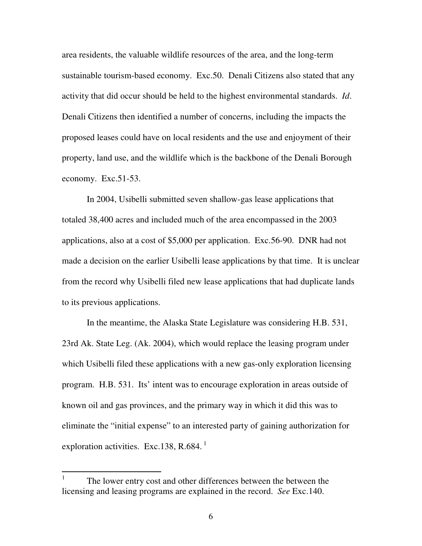area residents, the valuable wildlife resources of the area, and the long-term sustainable tourism-based economy. Exc.50. Denali Citizens also stated that any activity that did occur should be held to the highest environmental standards. *Id*. Denali Citizens then identified a number of concerns, including the impacts the proposed leases could have on local residents and the use and enjoyment of their property, land use, and the wildlife which is the backbone of the Denali Borough economy. Exc.51-53.

In 2004, Usibelli submitted seven shallow-gas lease applications that totaled 38,400 acres and included much of the area encompassed in the 2003 applications, also at a cost of \$5,000 per application. Exc.56-90. DNR had not made a decision on the earlier Usibelli lease applications by that time. It is unclear from the record why Usibelli filed new lease applications that had duplicate lands to its previous applications.

In the meantime, the Alaska State Legislature was considering H.B. 531, 23rd Ak. State Leg. (Ak. 2004), which would replace the leasing program under which Usibelli filed these applications with a new gas-only exploration licensing program. H.B. 531. Its' intent was to encourage exploration in areas outside of known oil and gas provinces, and the primary way in which it did this was to eliminate the "initial expense" to an interested party of gaining authorization for exploration activities. Exc.138, R.684. $<sup>1</sup>$ </sup>

 $\frac{1}{1}$  The lower entry cost and other differences between the between the licensing and leasing programs are explained in the record. *See* Exc.140.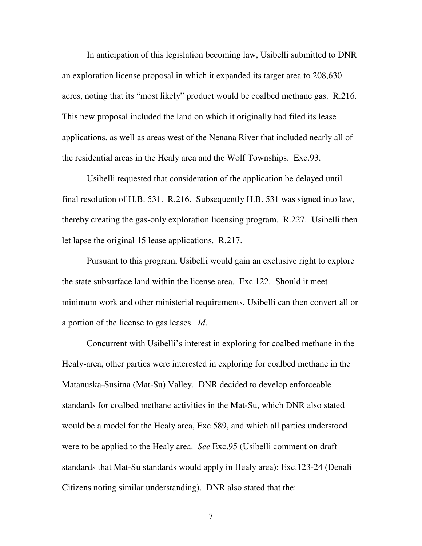In anticipation of this legislation becoming law, Usibelli submitted to DNR an exploration license proposal in which it expanded its target area to 208,630 acres, noting that its "most likely" product would be coalbed methane gas. R.216. This new proposal included the land on which it originally had filed its lease applications, as well as areas west of the Nenana River that included nearly all of the residential areas in the Healy area and the Wolf Townships. Exc.93.

Usibelli requested that consideration of the application be delayed until final resolution of H.B. 531. R.216. Subsequently H.B. 531 was signed into law, thereby creating the gas-only exploration licensing program. R.227. Usibelli then let lapse the original 15 lease applications. R.217.

Pursuant to this program, Usibelli would gain an exclusive right to explore the state subsurface land within the license area. Exc.122. Should it meet minimum work and other ministerial requirements, Usibelli can then convert all or a portion of the license to gas leases. *Id*.

Concurrent with Usibelli's interest in exploring for coalbed methane in the Healy-area, other parties were interested in exploring for coalbed methane in the Matanuska-Susitna (Mat-Su) Valley. DNR decided to develop enforceable standards for coalbed methane activities in the Mat-Su, which DNR also stated would be a model for the Healy area, Exc.589, and which all parties understood were to be applied to the Healy area. *See* Exc.95 (Usibelli comment on draft standards that Mat-Su standards would apply in Healy area); Exc.123-24 (Denali Citizens noting similar understanding). DNR also stated that the: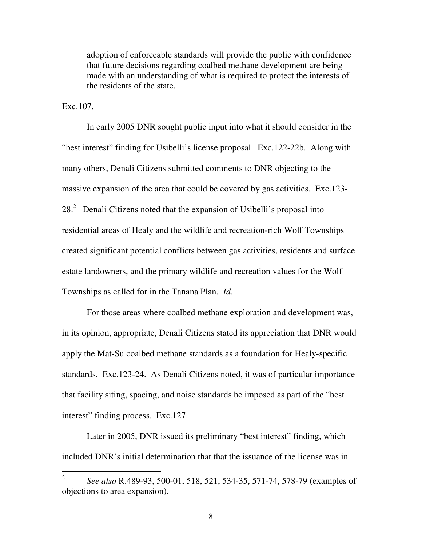adoption of enforceable standards will provide the public with confidence that future decisions regarding coalbed methane development are being made with an understanding of what is required to protect the interests of the residents of the state.

Exc.107.

In early 2005 DNR sought public input into what it should consider in the "best interest" finding for Usibelli's license proposal. Exc.122-22b. Along with many others, Denali Citizens submitted comments to DNR objecting to the massive expansion of the area that could be covered by gas activities. Exc.123- 28.<sup>2</sup> Denali Citizens noted that the expansion of Usibelli's proposal into residential areas of Healy and the wildlife and recreation-rich Wolf Townships created significant potential conflicts between gas activities, residents and surface estate landowners, and the primary wildlife and recreation values for the Wolf Townships as called for in the Tanana Plan. *Id*.

For those areas where coalbed methane exploration and development was, in its opinion, appropriate, Denali Citizens stated its appreciation that DNR would apply the Mat-Su coalbed methane standards as a foundation for Healy-specific standards. Exc.123-24. As Denali Citizens noted, it was of particular importance that facility siting, spacing, and noise standards be imposed as part of the "best interest" finding process. Exc.127.

 Later in 2005, DNR issued its preliminary "best interest" finding, which included DNR's initial determination that that the issuance of the license was in

 $\frac{1}{2}$  *See also* R.489-93, 500-01, 518, 521, 534-35, 571-74, 578-79 (examples of objections to area expansion).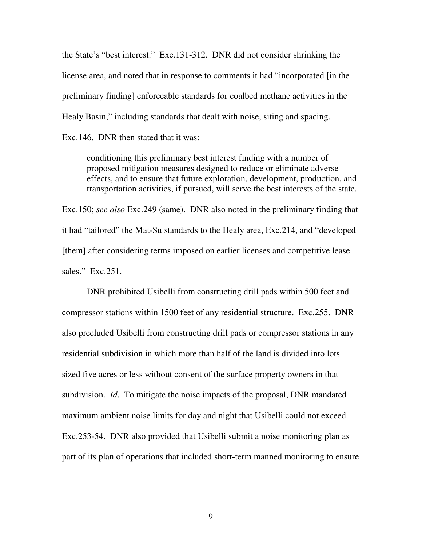the State's "best interest." Exc.131-312. DNR did not consider shrinking the license area, and noted that in response to comments it had "incorporated [in the preliminary finding] enforceable standards for coalbed methane activities in the Healy Basin," including standards that dealt with noise, siting and spacing.

Exc.146. DNR then stated that it was:

conditioning this preliminary best interest finding with a number of proposed mitigation measures designed to reduce or eliminate adverse effects, and to ensure that future exploration, development, production, and transportation activities, if pursued, will serve the best interests of the state.

Exc.150; *see also* Exc.249 (same). DNR also noted in the preliminary finding that it had "tailored" the Mat-Su standards to the Healy area, Exc.214, and "developed [them] after considering terms imposed on earlier licenses and competitive lease sales." Exc.251.

 DNR prohibited Usibelli from constructing drill pads within 500 feet and compressor stations within 1500 feet of any residential structure. Exc.255. DNR also precluded Usibelli from constructing drill pads or compressor stations in any residential subdivision in which more than half of the land is divided into lots sized five acres or less without consent of the surface property owners in that subdivision. *Id*. To mitigate the noise impacts of the proposal, DNR mandated maximum ambient noise limits for day and night that Usibelli could not exceed. Exc.253-54. DNR also provided that Usibelli submit a noise monitoring plan as part of its plan of operations that included short-term manned monitoring to ensure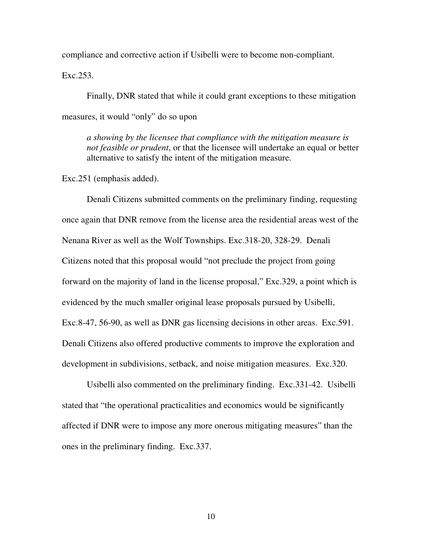compliance and corrective action if Usibelli were to become non-compliant.

Exc.253.

Finally, DNR stated that while it could grant exceptions to these mitigation measures, it would "only" do so upon

*a showing by the licensee that compliance with the mitigation measure is not feasible or prudent*, or that the licensee will undertake an equal or better alternative to satisfy the intent of the mitigation measure.

Exc.251 (emphasis added).

Denali Citizens submitted comments on the preliminary finding, requesting once again that DNR remove from the license area the residential areas west of the Nenana River as well as the Wolf Townships. Exc.318-20, 328-29. Denali Citizens noted that this proposal would "not preclude the project from going forward on the majority of land in the license proposal," Exc.329, a point which is evidenced by the much smaller original lease proposals pursued by Usibelli, Exc.8-47, 56-90, as well as DNR gas licensing decisions in other areas. Exc.591. Denali Citizens also offered productive comments to improve the exploration and development in subdivisions, setback, and noise mitigation measures. Exc.320.

Usibelli also commented on the preliminary finding. Exc.331-42. Usibelli stated that "the operational practicalities and economics would be significantly affected if DNR were to impose any more onerous mitigating measures" than the ones in the preliminary finding. Exc.337.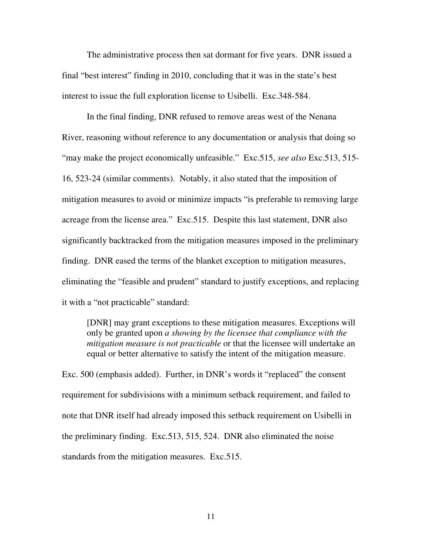The administrative process then sat dormant for five years. DNR issued a final "best interest" finding in 2010, concluding that it was in the state's best interest to issue the full exploration license to Usibelli. Exc.348-584.

In the final finding, DNR refused to remove areas west of the Nenana River, reasoning without reference to any documentation or analysis that doing so "may make the project economically unfeasible." Exc.515, *see also* Exc.513, 515- 16, 523-24 (similar comments). Notably, it also stated that the imposition of mitigation measures to avoid or minimize impacts "is preferable to removing large acreage from the license area." Exc.515. Despite this last statement, DNR also significantly backtracked from the mitigation measures imposed in the preliminary finding. DNR eased the terms of the blanket exception to mitigation measures, eliminating the "feasible and prudent" standard to justify exceptions, and replacing it with a "not practicable" standard:

[DNR] may grant exceptions to these mitigation measures. Exceptions will only be granted upon *a showing by the licensee that compliance with the mitigation measure is not practicable* or that the licensee will undertake an equal or better alternative to satisfy the intent of the mitigation measure.

Exc. 500 (emphasis added). Further, in DNR's words it "replaced" the consent requirement for subdivisions with a minimum setback requirement, and failed to note that DNR itself had already imposed this setback requirement on Usibelli in the preliminary finding. Exc.513, 515, 524. DNR also eliminated the noise standards from the mitigation measures. Exc.515.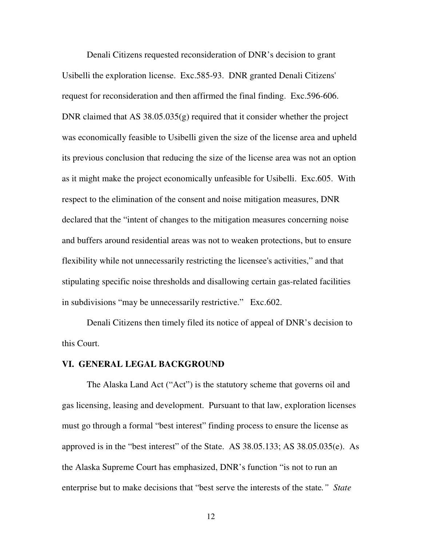Denali Citizens requested reconsideration of DNR's decision to grant Usibelli the exploration license. Exc.585-93. DNR granted Denali Citizens' request for reconsideration and then affirmed the final finding. Exc.596-606. DNR claimed that AS 38.05.035(g) required that it consider whether the project was economically feasible to Usibelli given the size of the license area and upheld its previous conclusion that reducing the size of the license area was not an option as it might make the project economically unfeasible for Usibelli. Exc.605. With respect to the elimination of the consent and noise mitigation measures, DNR declared that the "intent of changes to the mitigation measures concerning noise and buffers around residential areas was not to weaken protections, but to ensure flexibility while not unnecessarily restricting the licensee's activities," and that stipulating specific noise thresholds and disallowing certain gas-related facilities in subdivisions "may be unnecessarily restrictive." Exc.602.

 Denali Citizens then timely filed its notice of appeal of DNR's decision to this Court.

#### **VI. GENERAL LEGAL BACKGROUND**

The Alaska Land Act ("Act") is the statutory scheme that governs oil and gas licensing, leasing and development. Pursuant to that law, exploration licenses must go through a formal "best interest" finding process to ensure the license as approved is in the "best interest" of the State. AS 38.05.133; AS 38.05.035(e). As the Alaska Supreme Court has emphasized, DNR's function "is not to run an enterprise but to make decisions that "best serve the interests of the state*." State*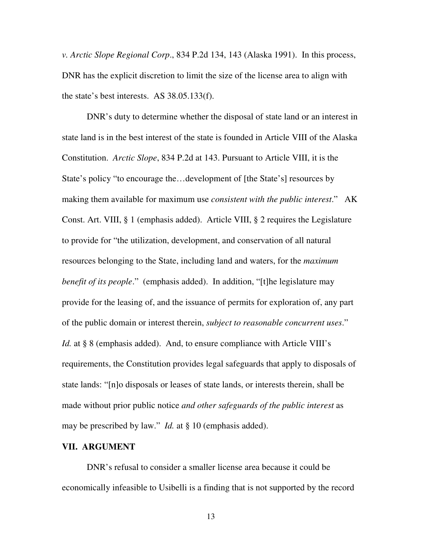*v. Arctic Slope Regional Corp*., 834 P.2d 134, 143 (Alaska 1991). In this process, DNR has the explicit discretion to limit the size of the license area to align with the state's best interests. AS 38.05.133(f).

DNR's duty to determine whether the disposal of state land or an interest in state land is in the best interest of the state is founded in Article VIII of the Alaska Constitution. *Arctic Slope*, 834 P.2d at 143. Pursuant to Article VIII, it is the State's policy "to encourage the…development of [the State's] resources by making them available for maximum use *consistent with the public interest*." AK Const. Art. VIII, § 1 (emphasis added). Article VIII, § 2 requires the Legislature to provide for "the utilization, development, and conservation of all natural resources belonging to the State, including land and waters, for the *maximum benefit of its people*." (emphasis added). In addition, "[t]he legislature may provide for the leasing of, and the issuance of permits for exploration of, any part of the public domain or interest therein, *subject to reasonable concurrent uses*." *Id.* at § 8 (emphasis added). And, to ensure compliance with Article VIII's requirements, the Constitution provides legal safeguards that apply to disposals of state lands: "[n]o disposals or leases of state lands, or interests therein, shall be made without prior public notice *and other safeguards of the public interest* as may be prescribed by law." *Id.* at § 10 (emphasis added).

#### **VII. ARGUMENT**

 DNR's refusal to consider a smaller license area because it could be economically infeasible to Usibelli is a finding that is not supported by the record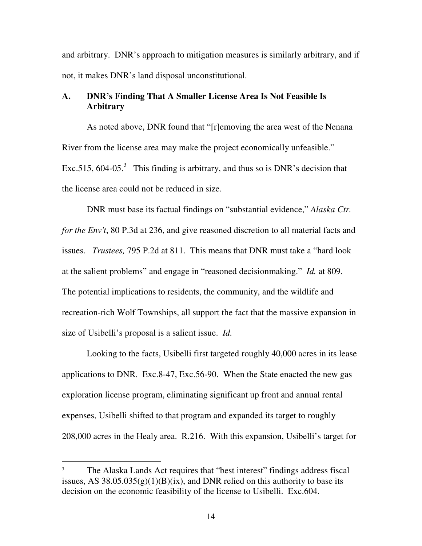and arbitrary. DNR's approach to mitigation measures is similarly arbitrary, and if not, it makes DNR's land disposal unconstitutional.

### **A. DNR's Finding That A Smaller License Area Is Not Feasible Is Arbitrary**

As noted above, DNR found that "[r]emoving the area west of the Nenana River from the license area may make the project economically unfeasible." Exc.515,  $604-05$ <sup>3</sup>. This finding is arbitrary, and thus so is DNR's decision that the license area could not be reduced in size.

DNR must base its factual findings on "substantial evidence," *Alaska Ctr. for the Env't*, 80 P.3d at 236, and give reasoned discretion to all material facts and issues. *Trustees,* 795 P.2d at 811. This means that DNR must take a "hard look at the salient problems" and engage in "reasoned decisionmaking." *Id.* at 809. The potential implications to residents, the community, and the wildlife and recreation-rich Wolf Townships, all support the fact that the massive expansion in size of Usibelli's proposal is a salient issue. *Id.*

Looking to the facts, Usibelli first targeted roughly 40,000 acres in its lease applications to DNR. Exc.8-47, Exc.56-90. When the State enacted the new gas exploration license program, eliminating significant up front and annual rental expenses, Usibelli shifted to that program and expanded its target to roughly 208,000 acres in the Healy area. R.216. With this expansion, Usibelli's target for

 $\overline{a}$ 

<sup>3</sup> The Alaska Lands Act requires that "best interest" findings address fiscal issues, AS  $38.05.035(g)(1)(B)(ix)$ , and DNR relied on this authority to base its decision on the economic feasibility of the license to Usibelli. Exc.604.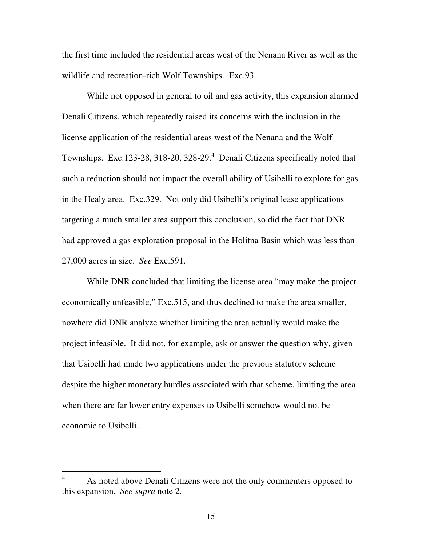the first time included the residential areas west of the Nenana River as well as the wildlife and recreation-rich Wolf Townships. Exc.93.

While not opposed in general to oil and gas activity, this expansion alarmed Denali Citizens, which repeatedly raised its concerns with the inclusion in the license application of the residential areas west of the Nenana and the Wolf Townships. Exc.123-28, 318-20, 328-29.<sup>4</sup> Denali Citizens specifically noted that such a reduction should not impact the overall ability of Usibelli to explore for gas in the Healy area. Exc.329. Not only did Usibelli's original lease applications targeting a much smaller area support this conclusion, so did the fact that DNR had approved a gas exploration proposal in the Holitna Basin which was less than 27,000 acres in size. *See* Exc.591.

While DNR concluded that limiting the license area "may make the project economically unfeasible," Exc.515, and thus declined to make the area smaller, nowhere did DNR analyze whether limiting the area actually would make the project infeasible. It did not, for example, ask or answer the question why, given that Usibelli had made two applications under the previous statutory scheme despite the higher monetary hurdles associated with that scheme, limiting the area when there are far lower entry expenses to Usibelli somehow would not be economic to Usibelli.

 $\overline{a}$ 

<sup>4</sup> As noted above Denali Citizens were not the only commenters opposed to this expansion. *See supra* note 2.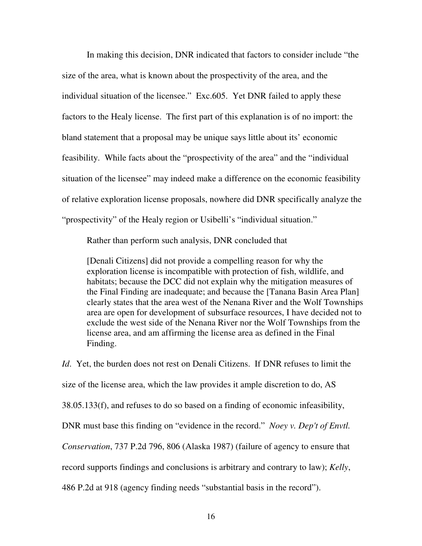In making this decision, DNR indicated that factors to consider include "the size of the area, what is known about the prospectivity of the area, and the individual situation of the licensee." Exc.605. Yet DNR failed to apply these factors to the Healy license. The first part of this explanation is of no import: the bland statement that a proposal may be unique says little about its' economic feasibility. While facts about the "prospectivity of the area" and the "individual situation of the licensee" may indeed make a difference on the economic feasibility of relative exploration license proposals, nowhere did DNR specifically analyze the "prospectivity" of the Healy region or Usibelli's "individual situation."

Rather than perform such analysis, DNR concluded that

[Denali Citizens] did not provide a compelling reason for why the exploration license is incompatible with protection of fish, wildlife, and habitats; because the DCC did not explain why the mitigation measures of the Final Finding are inadequate; and because the [Tanana Basin Area Plan] clearly states that the area west of the Nenana River and the Wolf Townships area are open for development of subsurface resources, I have decided not to exclude the west side of the Nenana River nor the Wolf Townships from the license area, and am affirming the license area as defined in the Final Finding.

*Id*. Yet, the burden does not rest on Denali Citizens. If DNR refuses to limit the size of the license area, which the law provides it ample discretion to do, AS 38.05.133(f), and refuses to do so based on a finding of economic infeasibility, DNR must base this finding on "evidence in the record." *Noey v. Dep't of Envtl. Conservation*, 737 P.2d 796, 806 (Alaska 1987) (failure of agency to ensure that record supports findings and conclusions is arbitrary and contrary to law); *Kelly*, 486 P.2d at 918 (agency finding needs "substantial basis in the record").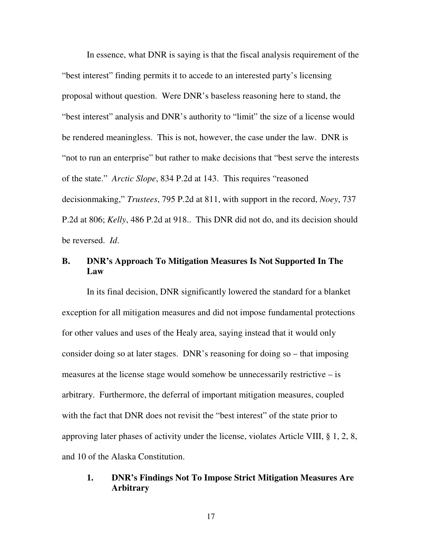In essence, what DNR is saying is that the fiscal analysis requirement of the "best interest" finding permits it to accede to an interested party's licensing proposal without question. Were DNR's baseless reasoning here to stand, the "best interest" analysis and DNR's authority to "limit" the size of a license would be rendered meaningless. This is not, however, the case under the law. DNR is "not to run an enterprise" but rather to make decisions that "best serve the interests of the state." *Arctic Slope*, 834 P.2d at 143. This requires "reasoned decisionmaking," *Trustees*, 795 P.2d at 811, with support in the record, *Noey*, 737 P.2d at 806; *Kelly*, 486 P.2d at 918.. This DNR did not do, and its decision should be reversed. *Id*.

### **B. DNR's Approach To Mitigation Measures Is Not Supported In The Law**

In its final decision, DNR significantly lowered the standard for a blanket exception for all mitigation measures and did not impose fundamental protections for other values and uses of the Healy area, saying instead that it would only consider doing so at later stages. DNR's reasoning for doing so – that imposing measures at the license stage would somehow be unnecessarily restrictive  $-\mathrm{is}$ arbitrary. Furthermore, the deferral of important mitigation measures, coupled with the fact that DNR does not revisit the "best interest" of the state prior to approving later phases of activity under the license, violates Article VIII, § 1, 2, 8, and 10 of the Alaska Constitution.

### **1. DNR's Findings Not To Impose Strict Mitigation Measures Are Arbitrary**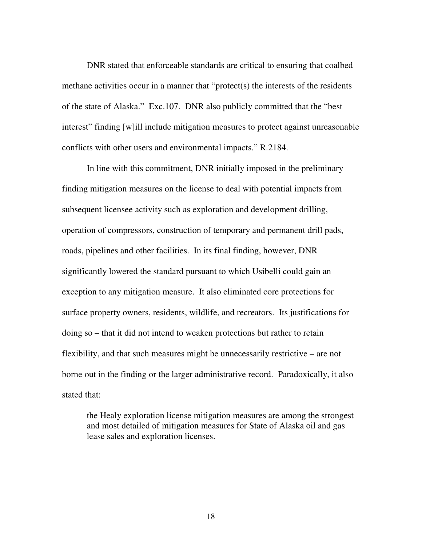DNR stated that enforceable standards are critical to ensuring that coalbed methane activities occur in a manner that "protect(s) the interests of the residents of the state of Alaska." Exc.107. DNR also publicly committed that the "best interest" finding [w]ill include mitigation measures to protect against unreasonable conflicts with other users and environmental impacts." R.2184.

In line with this commitment, DNR initially imposed in the preliminary finding mitigation measures on the license to deal with potential impacts from subsequent licensee activity such as exploration and development drilling, operation of compressors, construction of temporary and permanent drill pads, roads, pipelines and other facilities. In its final finding, however, DNR significantly lowered the standard pursuant to which Usibelli could gain an exception to any mitigation measure. It also eliminated core protections for surface property owners, residents, wildlife, and recreators. Its justifications for doing so – that it did not intend to weaken protections but rather to retain flexibility, and that such measures might be unnecessarily restrictive – are not borne out in the finding or the larger administrative record. Paradoxically, it also stated that:

the Healy exploration license mitigation measures are among the strongest and most detailed of mitigation measures for State of Alaska oil and gas lease sales and exploration licenses.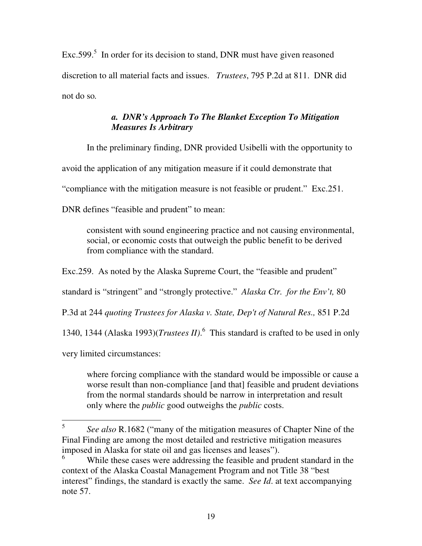$Exc.599$ <sup>5</sup> In order for its decision to stand, DNR must have given reasoned discretion to all material facts and issues. *Trustees*, 795 P.2d at 811. DNR did not do so*.*

### *a. DNR's Approach To The Blanket Exception To Mitigation Measures Is Arbitrary*

In the preliminary finding, DNR provided Usibelli with the opportunity to

avoid the application of any mitigation measure if it could demonstrate that

"compliance with the mitigation measure is not feasible or prudent." Exc.251.

DNR defines "feasible and prudent" to mean:

consistent with sound engineering practice and not causing environmental, social, or economic costs that outweigh the public benefit to be derived from compliance with the standard.

Exc.259. As noted by the Alaska Supreme Court, the "feasible and prudent"

standard is "stringent" and "strongly protective." *Alaska Ctr. for the Env't,* 80

P.3d at 244 *quoting Trustees for Alaska v. State, Dep't of Natural Res.,* 851 P.2d

1340, 1344 (Alaska 1993)(*Trustees II)*. 6 This standard is crafted to be used in only

very limited circumstances:

where forcing compliance with the standard would be impossible or cause a worse result than non-compliance [and that] feasible and prudent deviations from the normal standards should be narrow in interpretation and result only where the *public* good outweighs the *public* costs.

 5 *See also* R.1682 ("many of the mitigation measures of Chapter Nine of the Final Finding are among the most detailed and restrictive mitigation measures imposed in Alaska for state oil and gas licenses and leases").

<sup>6</sup> While these cases were addressing the feasible and prudent standard in the context of the Alaska Coastal Management Program and not Title 38 "best interest" findings, the standard is exactly the same. *See Id*. at text accompanying note 57.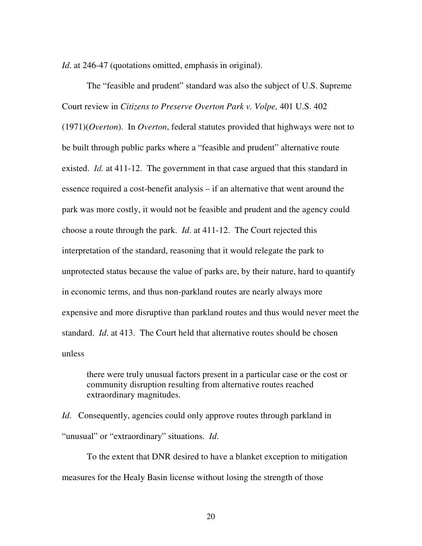*Id.* at 246-47 (quotations omitted, emphasis in original).

The "feasible and prudent" standard was also the subject of U.S. Supreme Court review in *Citizens to Preserve Overton Park v. Volpe,* 401 U.S. 402 (1971)(*Overton*). In *Overton*, federal statutes provided that highways were not to be built through public parks where a "feasible and prudent" alternative route existed. *Id.* at 411-12. The government in that case argued that this standard in essence required a cost-benefit analysis – if an alternative that went around the park was more costly, it would not be feasible and prudent and the agency could choose a route through the park. *Id*. at 411-12. The Court rejected this interpretation of the standard, reasoning that it would relegate the park to unprotected status because the value of parks are, by their nature, hard to quantify in economic terms, and thus non-parkland routes are nearly always more expensive and more disruptive than parkland routes and thus would never meet the standard. *Id*. at 413. The Court held that alternative routes should be chosen unless

there were truly unusual factors present in a particular case or the cost or community disruption resulting from alternative routes reached extraordinary magnitudes.

*Id.* Consequently, agencies could only approve routes through parkland in "unusual" or "extraordinary" situations. *Id*.

To the extent that DNR desired to have a blanket exception to mitigation measures for the Healy Basin license without losing the strength of those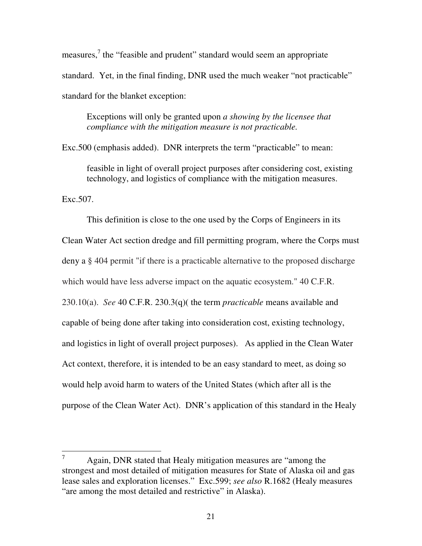measures,<sup>7</sup> the "feasible and prudent" standard would seem an appropriate standard. Yet, in the final finding, DNR used the much weaker "not practicable" standard for the blanket exception:

Exceptions will only be granted upon *a showing by the licensee that compliance with the mitigation measure is not practicable.* 

Exc.500 (emphasis added). DNR interprets the term "practicable" to mean:

feasible in light of overall project purposes after considering cost, existing technology, and logistics of compliance with the mitigation measures.

Exc.507.

This definition is close to the one used by the Corps of Engineers in its Clean Water Act section dredge and fill permitting program, where the Corps must deny a § 404 permit "if there is a practicable alternative to the proposed discharge which would have less adverse impact on the aquatic ecosystem." 40 C.F.R. 230.10(a). *See* 40 C.F.R. 230.3(q)( the term *practicable* means available and capable of being done after taking into consideration cost, existing technology, and logistics in light of overall project purposes). As applied in the Clean Water Act context, therefore, it is intended to be an easy standard to meet, as doing so would help avoid harm to waters of the United States (which after all is the purpose of the Clean Water Act). DNR's application of this standard in the Healy

 7 Again, DNR stated that Healy mitigation measures are "among the strongest and most detailed of mitigation measures for State of Alaska oil and gas lease sales and exploration licenses." Exc.599; *see also* R.1682 (Healy measures "are among the most detailed and restrictive" in Alaska).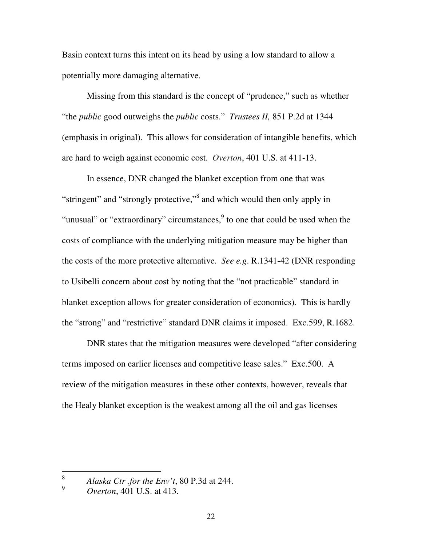Basin context turns this intent on its head by using a low standard to allow a potentially more damaging alternative.

 Missing from this standard is the concept of "prudence," such as whether "the *public* good outweighs the *public* costs." *Trustees II,* 851 P.2d at 1344 (emphasis in original). This allows for consideration of intangible benefits, which are hard to weigh against economic cost. *Overton*, 401 U.S. at 411-13.

 In essence, DNR changed the blanket exception from one that was "stringent" and "strongly protective,"<sup>8</sup> and which would then only apply in "unusual" or "extraordinary" circumstances, $9$  to one that could be used when the costs of compliance with the underlying mitigation measure may be higher than the costs of the more protective alternative. *See e.g*. R.1341-42 (DNR responding to Usibelli concern about cost by noting that the "not practicable" standard in blanket exception allows for greater consideration of economics). This is hardly the "strong" and "restrictive" standard DNR claims it imposed. Exc.599, R.1682.

 DNR states that the mitigation measures were developed "after considering terms imposed on earlier licenses and competitive lease sales." Exc.500. A review of the mitigation measures in these other contexts, however, reveals that the Healy blanket exception is the weakest among all the oil and gas licenses

 $\frac{1}{8}$ *Alaska Ctr .for the Env't*, 80 P.3d at 244.

<sup>9</sup> *Overton*, 401 U.S. at 413.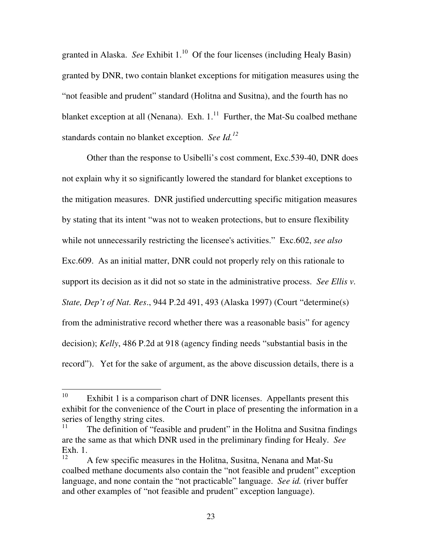granted in Alaska. *See* Exhibit 1.<sup>10</sup> Of the four licenses (including Healy Basin) granted by DNR, two contain blanket exceptions for mitigation measures using the "not feasible and prudent" standard (Holitna and Susitna), and the fourth has no blanket exception at all (Nenana). Exh.  $1<sup>11</sup>$  Further, the Mat-Su coalbed methane standards contain no blanket exception. *See Id.<sup>12</sup>*

 Other than the response to Usibelli's cost comment, Exc.539-40, DNR does not explain why it so significantly lowered the standard for blanket exceptions to the mitigation measures. DNR justified undercutting specific mitigation measures by stating that its intent "was not to weaken protections, but to ensure flexibility while not unnecessarily restricting the licensee's activities." Exc.602, *see also* Exc.609. As an initial matter, DNR could not properly rely on this rationale to support its decision as it did not so state in the administrative process. *See Ellis v. State, Dep't of Nat. Res*., 944 P.2d 491, 493 (Alaska 1997) (Court "determine(s) from the administrative record whether there was a reasonable basis" for agency decision); *Kelly*, 486 P.2d at 918 (agency finding needs "substantial basis in the record"). Yet for the sake of argument, as the above discussion details, there is a

<sup>10</sup> Exhibit 1 is a comparison chart of DNR licenses. Appellants present this exhibit for the convenience of the Court in place of presenting the information in a series of lengthy string cites.

<sup>11</sup> The definition of "feasible and prudent" in the Holitna and Susitna findings are the same as that which DNR used in the preliminary finding for Healy. *See*  Exh. 1.

<sup>12</sup> A few specific measures in the Holitna, Susitna, Nenana and Mat-Su coalbed methane documents also contain the "not feasible and prudent" exception language, and none contain the "not practicable" language. *See id.* (river buffer and other examples of "not feasible and prudent" exception language).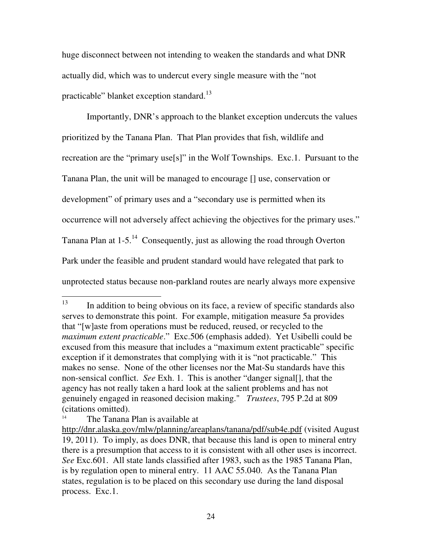huge disconnect between not intending to weaken the standards and what DNR actually did, which was to undercut every single measure with the "not practicable" blanket exception standard.<sup>13</sup>

 Importantly, DNR's approach to the blanket exception undercuts the values prioritized by the Tanana Plan. That Plan provides that fish, wildlife and recreation are the "primary use[s]" in the Wolf Townships. Exc.1. Pursuant to the Tanana Plan, the unit will be managed to encourage [] use, conservation or development" of primary uses and a "secondary use is permitted when its occurrence will not adversely affect achieving the objectives for the primary uses." Tanana Plan at  $1-5$ .<sup>14</sup> Consequently, just as allowing the road through Overton Park under the feasible and prudent standard would have relegated that park to unprotected status because non-parkland routes are nearly always more expensive

<sup>13</sup> In addition to being obvious on its face, a review of specific standards also serves to demonstrate this point. For example, mitigation measure 5a provides that "[w]aste from operations must be reduced, reused, or recycled to the *maximum extent practicable*." Exc.506 (emphasis added). Yet Usibelli could be excused from this measure that includes a "maximum extent practicable" specific exception if it demonstrates that complying with it is "not practicable." This makes no sense. None of the other licenses nor the Mat-Su standards have this non-sensical conflict. *See* Exh. 1. This is another "danger signal[], that the agency has not really taken a hard look at the salient problems and has not genuinely engaged in reasoned decision making." *Trustees*, 795 P.2d at 809 (citations omitted).

<sup>14</sup> The Tanana Plan is available at

http://dnr.alaska.gov/mlw/planning/areaplans/tanana/pdf/sub4e.pdf (visited August 19, 2011). To imply, as does DNR, that because this land is open to mineral entry there is a presumption that access to it is consistent with all other uses is incorrect. *See* Exc.601. All state lands classified after 1983, such as the 1985 Tanana Plan, is by regulation open to mineral entry. 11 AAC 55.040. As the Tanana Plan states, regulation is to be placed on this secondary use during the land disposal process. Exc.1.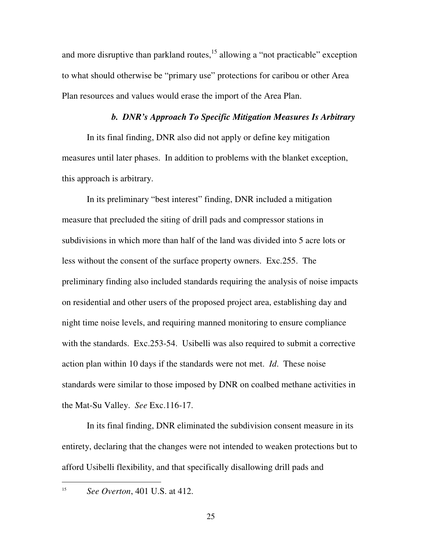and more disruptive than parkland routes,  $15$  allowing a "not practicable" exception to what should otherwise be "primary use" protections for caribou or other Area Plan resources and values would erase the import of the Area Plan.

#### *b. DNR's Approach To Specific Mitigation Measures Is Arbitrary*

In its final finding, DNR also did not apply or define key mitigation measures until later phases. In addition to problems with the blanket exception, this approach is arbitrary.

In its preliminary "best interest" finding, DNR included a mitigation measure that precluded the siting of drill pads and compressor stations in subdivisions in which more than half of the land was divided into 5 acre lots or less without the consent of the surface property owners. Exc.255. The preliminary finding also included standards requiring the analysis of noise impacts on residential and other users of the proposed project area, establishing day and night time noise levels, and requiring manned monitoring to ensure compliance with the standards. Exc.253-54. Usibelli was also required to submit a corrective action plan within 10 days if the standards were not met. *Id*. These noise standards were similar to those imposed by DNR on coalbed methane activities in the Mat-Su Valley. *See* Exc.116-17.

In its final finding, DNR eliminated the subdivision consent measure in its entirety, declaring that the changes were not intended to weaken protections but to afford Usibelli flexibility, and that specifically disallowing drill pads and

 $\overline{a}$ 

<sup>15</sup> *See Overton*, 401 U.S. at 412.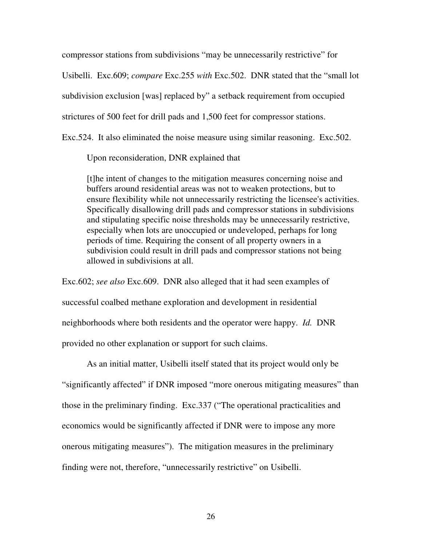compressor stations from subdivisions "may be unnecessarily restrictive" for

Usibelli. Exc.609; *compare* Exc.255 *with* Exc.502. DNR stated that the "small lot

subdivision exclusion [was] replaced by" a setback requirement from occupied

strictures of 500 feet for drill pads and 1,500 feet for compressor stations.

Exc.524. It also eliminated the noise measure using similar reasoning. Exc.502.

Upon reconsideration, DNR explained that

[t]he intent of changes to the mitigation measures concerning noise and buffers around residential areas was not to weaken protections, but to ensure flexibility while not unnecessarily restricting the licensee's activities. Specifically disallowing drill pads and compressor stations in subdivisions and stipulating specific noise thresholds may be unnecessarily restrictive, especially when lots are unoccupied or undeveloped, perhaps for long periods of time. Requiring the consent of all property owners in a subdivision could result in drill pads and compressor stations not being allowed in subdivisions at all.

Exc.602; *see also* Exc.609. DNR also alleged that it had seen examples of successful coalbed methane exploration and development in residential neighborhoods where both residents and the operator were happy. *Id.* DNR provided no other explanation or support for such claims.

As an initial matter, Usibelli itself stated that its project would only be "significantly affected" if DNR imposed "more onerous mitigating measures" than those in the preliminary finding. Exc.337 ("The operational practicalities and economics would be significantly affected if DNR were to impose any more onerous mitigating measures"). The mitigation measures in the preliminary finding were not, therefore, "unnecessarily restrictive" on Usibelli.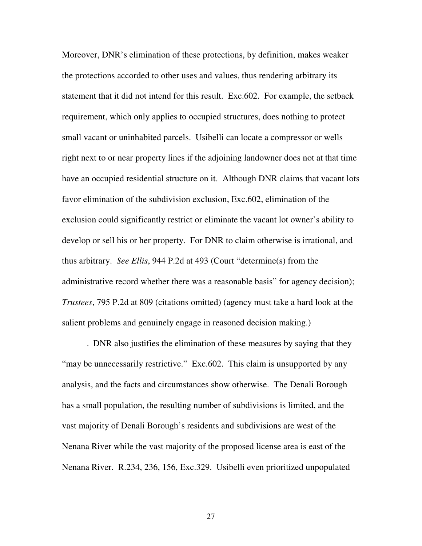Moreover, DNR's elimination of these protections, by definition, makes weaker the protections accorded to other uses and values, thus rendering arbitrary its statement that it did not intend for this result. Exc.602. For example, the setback requirement, which only applies to occupied structures, does nothing to protect small vacant or uninhabited parcels. Usibelli can locate a compressor or wells right next to or near property lines if the adjoining landowner does not at that time have an occupied residential structure on it. Although DNR claims that vacant lots favor elimination of the subdivision exclusion, Exc.602, elimination of the exclusion could significantly restrict or eliminate the vacant lot owner's ability to develop or sell his or her property. For DNR to claim otherwise is irrational, and thus arbitrary. *See Ellis*, 944 P.2d at 493 (Court "determine(s) from the administrative record whether there was a reasonable basis" for agency decision); *Trustees*, 795 P.2d at 809 (citations omitted) (agency must take a hard look at the salient problems and genuinely engage in reasoned decision making.)

. DNR also justifies the elimination of these measures by saying that they "may be unnecessarily restrictive." Exc.602. This claim is unsupported by any analysis, and the facts and circumstances show otherwise. The Denali Borough has a small population, the resulting number of subdivisions is limited, and the vast majority of Denali Borough's residents and subdivisions are west of the Nenana River while the vast majority of the proposed license area is east of the Nenana River. R.234, 236, 156, Exc.329. Usibelli even prioritized unpopulated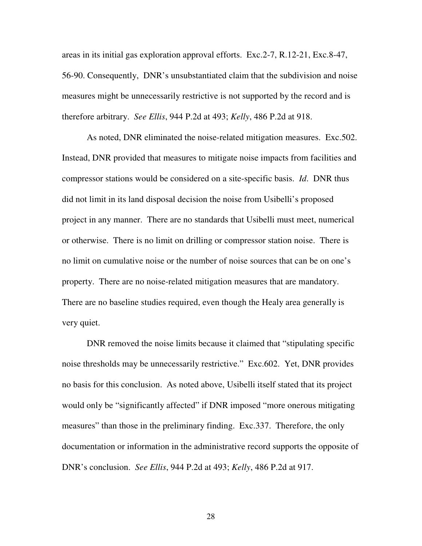areas in its initial gas exploration approval efforts. Exc.2-7, R.12-21, Exc.8-47, 56-90. Consequently, DNR's unsubstantiated claim that the subdivision and noise measures might be unnecessarily restrictive is not supported by the record and is therefore arbitrary. *See Ellis*, 944 P.2d at 493; *Kelly*, 486 P.2d at 918.

 As noted, DNR eliminated the noise-related mitigation measures. Exc.502. Instead, DNR provided that measures to mitigate noise impacts from facilities and compressor stations would be considered on a site-specific basis. *Id*. DNR thus did not limit in its land disposal decision the noise from Usibelli's proposed project in any manner. There are no standards that Usibelli must meet, numerical or otherwise. There is no limit on drilling or compressor station noise. There is no limit on cumulative noise or the number of noise sources that can be on one's property. There are no noise-related mitigation measures that are mandatory. There are no baseline studies required, even though the Healy area generally is very quiet.

DNR removed the noise limits because it claimed that "stipulating specific noise thresholds may be unnecessarily restrictive." Exc.602. Yet, DNR provides no basis for this conclusion. As noted above, Usibelli itself stated that its project would only be "significantly affected" if DNR imposed "more onerous mitigating measures" than those in the preliminary finding. Exc.337. Therefore, the only documentation or information in the administrative record supports the opposite of DNR's conclusion. *See Ellis*, 944 P.2d at 493; *Kelly*, 486 P.2d at 917.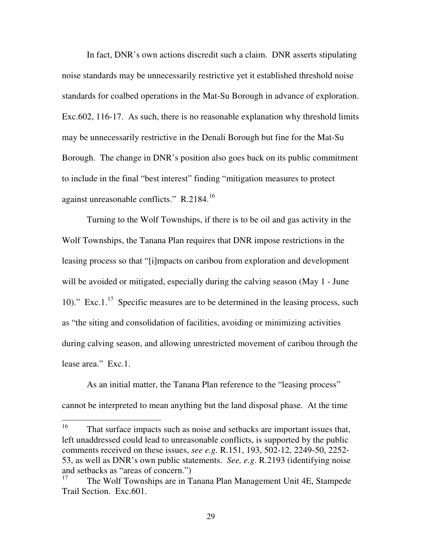In fact, DNR's own actions discredit such a claim. DNR asserts stipulating noise standards may be unnecessarily restrictive yet it established threshold noise standards for coalbed operations in the Mat-Su Borough in advance of exploration. Exc.602, 116-17. As such, there is no reasonable explanation why threshold limits may be unnecessarily restrictive in the Denali Borough but fine for the Mat-Su Borough. The change in DNR's position also goes back on its public commitment to include in the final "best interest" finding "mitigation measures to protect against unreasonable conflicts." R.2184.<sup>16</sup>

Turning to the Wolf Townships, if there is to be oil and gas activity in the Wolf Townships, the Tanana Plan requires that DNR impose restrictions in the leasing process so that "[i]mpacts on caribou from exploration and development will be avoided or mitigated, especially during the calving season (May 1 - June 10)." Exc.1. $^{17}$  Specific measures are to be determined in the leasing process, such as "the siting and consolidation of facilities, avoiding or minimizing activities during calving season, and allowing unrestricted movement of caribou through the lease area." Exc.1.

As an initial matter, the Tanana Plan reference to the "leasing process" cannot be interpreted to mean anything but the land disposal phase. At the time

<sup>16</sup> That surface impacts such as noise and setbacks are important issues that, left unaddressed could lead to unreasonable conflicts, is supported by the public comments received on these issues, *see e.g.* R.151, 193, 502-12, 2249-50, 2252- 53, as well as DNR's own public statements. *See, e.g*. R.2193 (identifying noise and setbacks as "areas of concern.")<br> $^{17}$  The Welf Townships are in T

<sup>17</sup> The Wolf Townships are in Tanana Plan Management Unit 4E, Stampede Trail Section. Exc.601.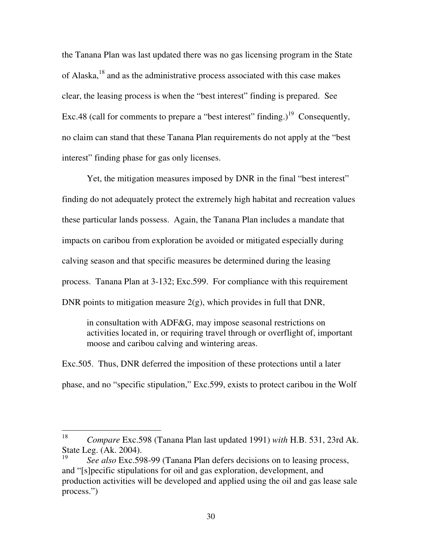the Tanana Plan was last updated there was no gas licensing program in the State of Alaska, $18$  and as the administrative process associated with this case makes clear, the leasing process is when the "best interest" finding is prepared. See Exc.48 (call for comments to prepare a "best interest" finding.)<sup>19</sup> Consequently, no claim can stand that these Tanana Plan requirements do not apply at the "best interest" finding phase for gas only licenses.

Yet, the mitigation measures imposed by DNR in the final "best interest" finding do not adequately protect the extremely high habitat and recreation values these particular lands possess. Again, the Tanana Plan includes a mandate that impacts on caribou from exploration be avoided or mitigated especially during calving season and that specific measures be determined during the leasing process. Tanana Plan at 3-132; Exc.599. For compliance with this requirement DNR points to mitigation measure 2(g), which provides in full that DNR,

in consultation with ADF&G, may impose seasonal restrictions on activities located in, or requiring travel through or overflight of, important moose and caribou calving and wintering areas.

Exc.505. Thus, DNR deferred the imposition of these protections until a later phase, and no "specific stipulation," Exc.599, exists to protect caribou in the Wolf

 18 *Compare* Exc.598 (Tanana Plan last updated 1991) *with* H.B. 531, 23rd Ak. State Leg. (Ak. 2004).

<sup>19</sup> *See also* Exc.598-99 (Tanana Plan defers decisions on to leasing process, and "[s]pecific stipulations for oil and gas exploration, development, and production activities will be developed and applied using the oil and gas lease sale process.")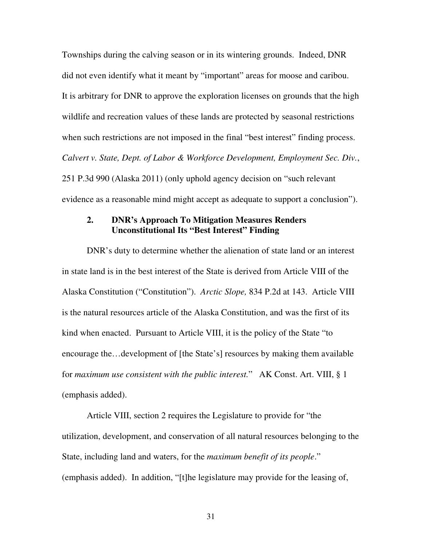Townships during the calving season or in its wintering grounds. Indeed, DNR did not even identify what it meant by "important" areas for moose and caribou. It is arbitrary for DNR to approve the exploration licenses on grounds that the high wildlife and recreation values of these lands are protected by seasonal restrictions when such restrictions are not imposed in the final "best interest" finding process. *Calvert v. State, Dept. of Labor & Workforce Development, Employment Sec. Div.*, 251 P.3d 990 (Alaska 2011) (only uphold agency decision on "such relevant evidence as a reasonable mind might accept as adequate to support a conclusion").

### **2. DNR's Approach To Mitigation Measures Renders Unconstitutional Its "Best Interest" Finding**

DNR's duty to determine whether the alienation of state land or an interest in state land is in the best interest of the State is derived from Article VIII of the Alaska Constitution ("Constitution"). *Arctic Slope,* 834 P.2d at 143. Article VIII is the natural resources article of the Alaska Constitution, and was the first of its kind when enacted. Pursuant to Article VIII, it is the policy of the State "to encourage the…development of [the State's] resources by making them available for *maximum use consistent with the public interest.*" AK Const. Art. VIII, § 1 (emphasis added).

Article VIII, section 2 requires the Legislature to provide for "the utilization, development, and conservation of all natural resources belonging to the State, including land and waters, for the *maximum benefit of its people*." (emphasis added). In addition, "[t]he legislature may provide for the leasing of,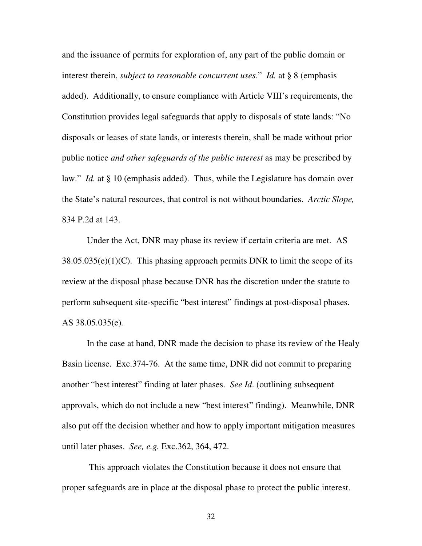and the issuance of permits for exploration of, any part of the public domain or interest therein, *subject to reasonable concurrent uses*." *Id.* at § 8 (emphasis added). Additionally, to ensure compliance with Article VIII's requirements, the Constitution provides legal safeguards that apply to disposals of state lands: "No disposals or leases of state lands, or interests therein, shall be made without prior public notice *and other safeguards of the public interest* as may be prescribed by law." *Id.* at § 10 (emphasis added). Thus, while the Legislature has domain over the State's natural resources, that control is not without boundaries. *Arctic Slope,*  834 P.2d at 143.

 Under the Act, DNR may phase its review if certain criteria are met. AS  $38.05.035(e)(1)(C)$ . This phasing approach permits DNR to limit the scope of its review at the disposal phase because DNR has the discretion under the statute to perform subsequent site-specific "best interest" findings at post-disposal phases. AS 38.05.035(e)*.*

In the case at hand, DNR made the decision to phase its review of the Healy Basin license. Exc.374-76. At the same time, DNR did not commit to preparing another "best interest" finding at later phases. *See Id*. (outlining subsequent approvals, which do not include a new "best interest" finding). Meanwhile, DNR also put off the decision whether and how to apply important mitigation measures until later phases. *See, e.g.* Exc.362, 364, 472.

 This approach violates the Constitution because it does not ensure that proper safeguards are in place at the disposal phase to protect the public interest.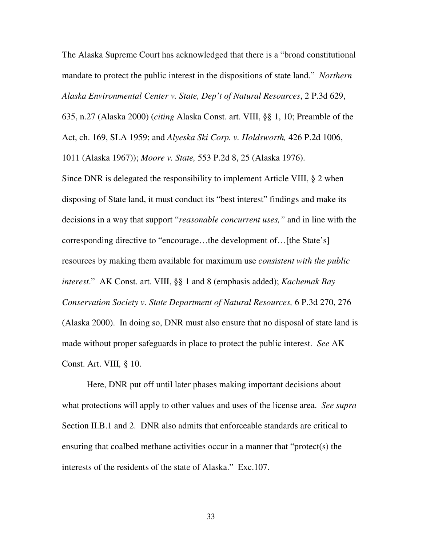The Alaska Supreme Court has acknowledged that there is a "broad constitutional mandate to protect the public interest in the dispositions of state land." *Northern Alaska Environmental Center v. State, Dep't of Natural Resources*, 2 P.3d 629,

635, n.27 (Alaska 2000) (*citing* Alaska Const. art. VIII, §§ 1, 10; Preamble of the

Act, ch. 169, SLA 1959; and *Alyeska Ski Corp. v. Holdsworth,* 426 P.2d 1006,

1011 (Alaska 1967)); *Moore v. State,* 553 P.2d 8, 25 (Alaska 1976).

Since DNR is delegated the responsibility to implement Article VIII, § 2 when disposing of State land, it must conduct its "best interest" findings and make its decisions in a way that support "*reasonable concurrent uses,"* and in line with the corresponding directive to "encourage…the development of…[the State's] resources by making them available for maximum use *consistent with the public interest*." AK Const. art. VIII, §§ 1 and 8 (emphasis added); *Kachemak Bay Conservation Society v. State Department of Natural Resources,* 6 P.3d 270, 276 (Alaska 2000). In doing so, DNR must also ensure that no disposal of state land is made without proper safeguards in place to protect the public interest. *See* AK Const. Art. VIII*,* § 10.

Here, DNR put off until later phases making important decisions about what protections will apply to other values and uses of the license area. *See supra* Section II.B.1 and 2. DNR also admits that enforceable standards are critical to ensuring that coalbed methane activities occur in a manner that "protect(s) the interests of the residents of the state of Alaska." Exc.107.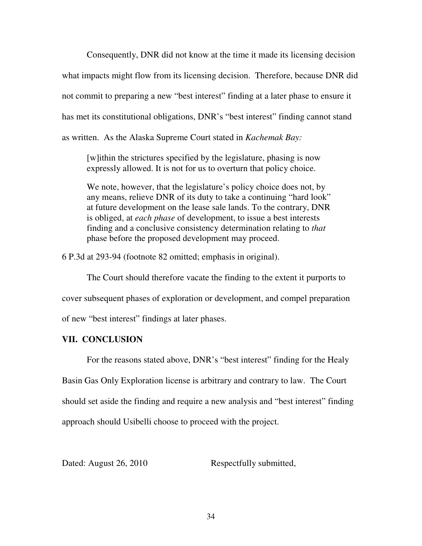Consequently, DNR did not know at the time it made its licensing decision what impacts might flow from its licensing decision. Therefore, because DNR did not commit to preparing a new "best interest" finding at a later phase to ensure it has met its constitutional obligations, DNR's "best interest" finding cannot stand as written. As the Alaska Supreme Court stated in *Kachemak Bay:*

[w]ithin the strictures specified by the legislature, phasing is now expressly allowed. It is not for us to overturn that policy choice.

We note, however, that the legislature's policy choice does not, by any means, relieve DNR of its duty to take a continuing "hard look" at future development on the lease sale lands. To the contrary, DNR is obliged, at *each phase* of development, to issue a best interests finding and a conclusive consistency determination relating to *that* phase before the proposed development may proceed.

6 P.3d at 293-94 (footnote 82 omitted; emphasis in original).

The Court should therefore vacate the finding to the extent it purports to cover subsequent phases of exploration or development, and compel preparation of new "best interest" findings at later phases.

### **VII. CONCLUSION**

For the reasons stated above, DNR's "best interest" finding for the Healy

Basin Gas Only Exploration license is arbitrary and contrary to law. The Court should set aside the finding and require a new analysis and "best interest" finding approach should Usibelli choose to proceed with the project.

Dated: August 26, 2010 Respectfully submitted,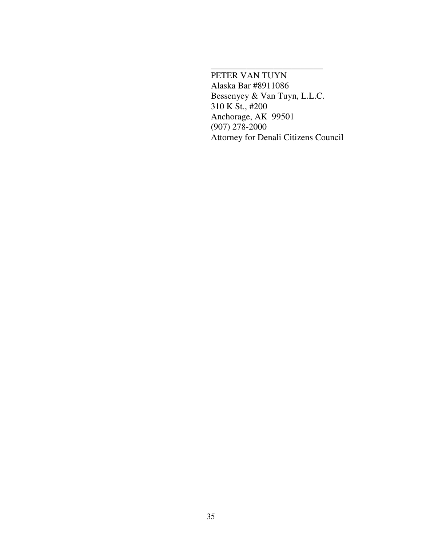PETER VAN TUYN Alaska Bar #8911086 Bessenyey & Van Tuyn, L.L.C. 310 K St., #200 Anchorage, AK 99501 (907) 278-2000 Attorney for Denali Citizens Council

\_\_\_\_\_\_\_\_\_\_\_\_\_\_\_\_\_\_\_\_\_\_\_\_\_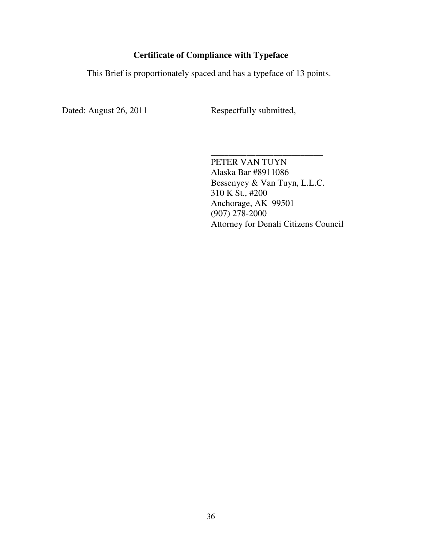# **Certificate of Compliance with Typeface**

This Brief is proportionately spaced and has a typeface of 13 points.

Dated: August 26, 2011 Respectfully submitted,

\_\_\_\_\_\_\_\_\_\_\_\_\_\_\_\_\_\_\_\_\_\_\_\_\_ PETER VAN TUYN Alaska Bar #8911086 Bessenyey & Van Tuyn, L.L.C. 310 K St., #200 Anchorage, AK 99501 (907) 278-2000 Attorney for Denali Citizens Council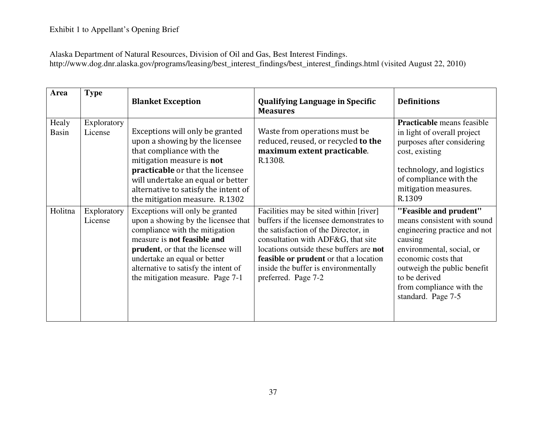Alaska Department of Natural Resources, Division of Oil and Gas, Best Interest Findings. http://www.dog.dnr.alaska.gov/programs/leasing/best\_interest\_findings/best\_interest\_findings.html (visited August 22, 2010)

| Area                  | <b>Type</b>            | <b>Blanket Exception</b>                                                                                                                                                                                                                                                                          | <b>Qualifying Language in Specific</b><br><b>Measures</b>                                                                                                                                                                                                                                                                  | <b>Definitions</b>                                                                                                                                                                                                                                     |
|-----------------------|------------------------|---------------------------------------------------------------------------------------------------------------------------------------------------------------------------------------------------------------------------------------------------------------------------------------------------|----------------------------------------------------------------------------------------------------------------------------------------------------------------------------------------------------------------------------------------------------------------------------------------------------------------------------|--------------------------------------------------------------------------------------------------------------------------------------------------------------------------------------------------------------------------------------------------------|
| Healy<br><b>Basin</b> | Exploratory<br>License | Exceptions will only be granted<br>upon a showing by the licensee<br>that compliance with the<br>mitigation measure is not<br>practicable or that the licensee<br>will undertake an equal or better<br>alternative to satisfy the intent of<br>the mitigation measure. R.1302                     | Waste from operations must be<br>reduced, reused, or recycled to the<br>maximum extent practicable.<br>R.1308.                                                                                                                                                                                                             | <b>Practicable</b> means feasible<br>in light of overall project<br>purposes after considering<br>cost, existing<br>technology, and logistics<br>of compliance with the<br>mitigation measures.<br>R.1309                                              |
| Holitna               | Exploratory<br>License | Exceptions will only be granted<br>upon a showing by the licensee that<br>compliance with the mitigation<br>measure is not feasible and<br><b>prudent</b> , or that the licensee will<br>undertake an equal or better<br>alternative to satisfy the intent of<br>the mitigation measure. Page 7-1 | Facilities may be sited within [river]<br>buffers if the licensee demonstrates to<br>the satisfaction of the Director, in<br>consultation with ADF&G, that site<br>locations outside these buffers are not<br><b>feasible or prudent</b> or that a location<br>inside the buffer is environmentally<br>preferred. Page 7-2 | "Feasible and prudent"<br>means consistent with sound<br>engineering practice and not<br>causing<br>environmental, social, or<br>economic costs that<br>outweigh the public benefit<br>to be derived<br>from compliance with the<br>standard. Page 7-5 |